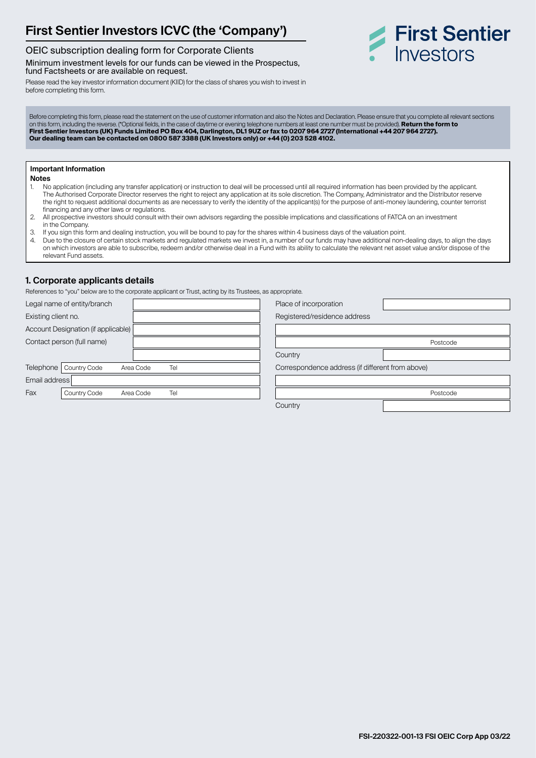# **First Sentier Investors ICVC (the 'Company')**

### OEIC subscription dealing form for Corporate Clients

Minimum investment levels for our funds can be viewed in the Prospectus, fund Factsheets or are available on request.

Please read the key investor information document (KIID) for the class of shares you wish to invest in before completing this form.



Before completing this form, please read the statement on the use of customer information and also the Notes and Declaration. Please ensure that you complete all relevant sections on this form, including the reverse. (\*Optional fields, in the case of daytime or evening telephone numbers at least one number must be provided). **Return the form to First Sentier Investors (UK) Funds Limited PO Box 404, Darlington, DL1 9UZ or fax to 0207 964 2727 (International +44 207 964 2727). Our dealing team can be contacted on 0800 587 3388 (UK Investors only) or +44 (0) 203 528 4102.**

### **Important Information**

- **Notes** 1. No application (including any transfer application) or instruction to deal will be processed until all required information has been provided by the applicant. The Authorised Corporate Director reserves the right to reject any application at its sole discretion. The Company, Administrator and the Distributor reserve the right to request additional documents as are necessary to verify the identity of the applicant(s) for the purpose of anti-money laundering, counter terrorist financing and any other laws or regulations.
- 2. All prospective investors should consult with their own advisors regarding the possible implications and classifications of FATCA on an investment in the Company.
- 3. If you sign this form and dealing instruction, you will be bound to pay for the shares within 4 business days of the valuation point.<br>4. Due to the closure of certain stock markets and requiated markets we invest in a n
- Due to the closure of certain stock markets and regulated markets we invest in, a number of our funds may have additional non-dealing days, to align the days on which investors are able to subscribe, redeem and/or otherwise deal in a Fund with its ability to calculate the relevant net asset value and/or dispose of the relevant Fund assets.

### **1. Corporate applicants details**

References to "you" below are to the corporate applicant or Trust, acting by its Trustees, as appropriate.

| Legal name of entity/branch                     | Place of incorporation                           |
|-------------------------------------------------|--------------------------------------------------|
| Existing client no.                             | Registered/residence address                     |
| Account Designation (if applicable)             |                                                  |
| Contact person (full name)                      | Postcode                                         |
|                                                 | Country                                          |
| Telephone  <br>Country Code<br>Tel<br>Area Code | Correspondence address (if different from above) |
| Email address                                   |                                                  |
| Fax<br>Tel<br><b>Country Code</b><br>Area Code  | Postcode                                         |
|                                                 | Country                                          |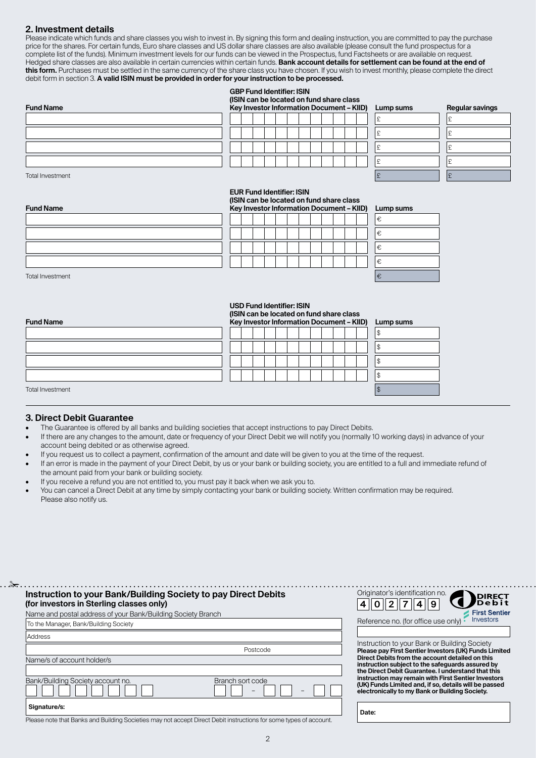### **2. Investment details**

Please indicate which funds and share classes you wish to invest in. By signing this form and dealing instruction, you are committed to pay the purchase price for the shares. For certain funds, Euro share classes and US dollar share classes are also available (please consult the fund prospectus for a complete list of the funds). Minimum investment levels for our funds can be viewed in the Prospectus, fund Factsheets or are available on request. Hedged share classes are also available in certain currencies within certain funds. **Bank account details for settlement can be found at the end of this form.** Purchases must be settled in the same currency of the share class you have chosen. If you wish to invest monthly, please complete the direct debit form in section 3. **A valid ISIN must be provided in order for your instruction to be processed.**

### **GBP Fund Identifier: ISIN**

**(ISIN can be located on fund share class** 

| <b>Fund Name</b> |  |  |  |  |  |  | Key Investor Information Document - KIID) | Lump sums | <b>Regular savings</b> |
|------------------|--|--|--|--|--|--|-------------------------------------------|-----------|------------------------|
|                  |  |  |  |  |  |  |                                           |           |                        |
|                  |  |  |  |  |  |  |                                           |           |                        |
|                  |  |  |  |  |  |  |                                           |           |                        |
|                  |  |  |  |  |  |  |                                           |           |                        |

| Lump sums | <b>Regular savings</b> |
|-----------|------------------------|
| £         | £                      |
| £         | £                      |
| £         | £                      |
| £         | £                      |
| £         | £                      |

Total Investment  $\begin{bmatrix} 1 & 2 \end{bmatrix}$ 

**Fund Name**

#### **EUR Fund Identifier: ISIN (ISIN can be located on fund share class Key Investor Information Document – KIID) Lump sums**

|  |  |  |  | wy investor information booding it. This |  | -- |
|--|--|--|--|------------------------------------------|--|----|
|  |  |  |  |                                          |  | €  |
|  |  |  |  |                                          |  | €  |
|  |  |  |  |                                          |  | €  |
|  |  |  |  |                                          |  | €  |

| ump sums. |
|-----------|
| Ê,        |
| Ê,        |
| €         |
| Ê,        |
| €         |

Total Investment  $\mathfrak{k}$ 

## **USD Fund Identifier: ISIN (ISIN can be located on fund share class**

| <b>Fund Name</b> | Key Investor Information Document - KIID) Lump sums |    |
|------------------|-----------------------------------------------------|----|
|                  |                                                     |    |
|                  |                                                     | w  |
|                  |                                                     | d. |
|                  |                                                     |    |
| Total Investment |                                                     |    |

✁

### **3. Direct Debit Guarantee**

- The Guarantee is offered by all banks and building societies that accept instructions to pay Direct Debits.
- If there are any changes to the amount, date or frequency of your Direct Debit we will notify you (normally 10 working days) in advance of your account being debited or as otherwise agreed.
- If you request us to collect a payment, confirmation of the amount and date will be given to you at the time of the request.
- If an error is made in the payment of your Direct Debit, by us or your bank or building society, you are entitled to a full and immediate refund of the amount paid from your bank or building society.
- If you receive a refund you are not entitled to, you must pay it back when we ask you to.
- You can cancel a Direct Debit at any time by simply contacting your bank or building society. Written confirmation may be required. Please also notify us.

### **Instruction to your Bank/Building Society to pay Direct Debits (for investors in Sterling classes only)** Name and postal address of your Bank/Building Society Branch To the Manager, Bank/Building Society Address Postcode Name/s of account holder/s Bank/Building Society account no. Branch sort code – –  **Signature/s:**



| Instruction to your Bank or Building Society          |
|-------------------------------------------------------|
| Please pay First Sentier Investors (UK) Funds Limited |
| Direct Debits from the account detailed on this       |
| instruction subject to the safeguards assured by      |
| the Direct Debit Guarantee. I understand that this    |
| instruction may remain with First Sentier Investors   |
| (UK) Funds Limited and, if so, details will be passed |
| electronically to my Bank or Building Society.        |

 **Date:**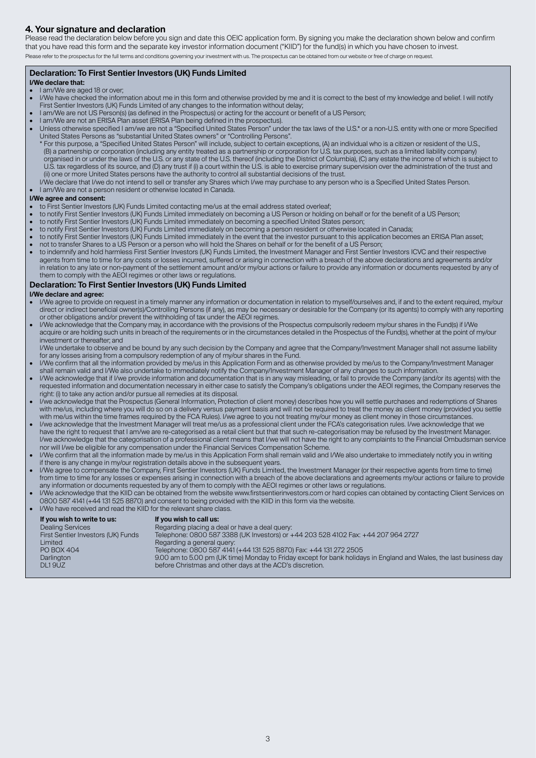### **4. Your signature and declaration**

Please read the declaration below before you sign and date this OEIC application form. By signing you make the declaration shown below and confirm that you have read this form and the separate key investor information document ("KIID") for the fund(s) in which you have chosen to invest. Please refer to the prospectus for the full terms and conditions governing your investment with us. The prospectus can be obtained from our website or free of charge on request.

### **Declaration: To First Sentier Investors (UK) Funds Limited**

### **I/We declare that:**

- I am/We are aged 18 or over;
- I/We have checked the information about me in this form and otherwise provided by me and it is correct to the best of my knowledge and belief. I will notify First Sentier Investors (UK) Funds Limited of any changes to the information without delay;
- I am/We are not US Person(s) (as defined in the Prospectus) or acting for the account or benefit of a US Person;
- I am/We are not an ERISA Plan asset (ERISA Plan being defined in the prospectus).
- Unless otherwise specified I am/we are not a "Specified United States Person" under the tax laws of the U.S.\* or a non-U.S. entity with one or more Specified United States Persons as "substantial United States owners" or "Controlling Persons".
- \* For this purpose, a "Specified United States Person" will include, subject to certain exceptions, (A) an individual who is a citizen or resident of the U.S., (B) a partnership or corporation (including any entity treated as a partnership or corporation for U.S. tax purposes, such as a limited liability company) organised in or under the laws of the U.S. or any state of the U.S. thereof (including the District of Columbia), (C) any estate the income of which is subject to U.S. tax regardless of its source, and (D) any trust if (i) a court within the U.S. is able to exercise primary supervision over the administration of the trust and (ii) one or more United States persons have the authority to control all substantial decisions of the trust. I/We declare that I/we do not intend to sell or transfer any Shares which I/we may purchase to any person who is a Specified United States Person.
- I am/We are not a person resident or otherwise located in Canada.

### **I/We agree and consent:**

- to First Sentier Investors (UK) Funds Limited contacting me/us at the email address stated overleaf;
- to notify First Sentier Investors (UK) Funds Limited immediately on becoming a US Person or holding on behalf or for the benefit of a US Person;
- to notify First Sentier Investors (UK) Funds Limited immediately on becoming a specified United States person;
- to notify First Sentier Investors (UK) Funds Limited immediately on becoming a person resident or otherwise located in Canada;
- to notify First Sentier Investors (UK) Funds Limited immediately in the event that the investor pursuant to this application becomes an ERISA Plan asset; • not to transfer Shares to a US Person or a person who will hold the Shares on behalf or for the benefit of a US Person;
- to indemnify and hold harmless First Sentier Investors (UK) Funds Limited, the Investment Manager and First Sentier Investors ICVC and their respective agents from time to time for any costs or losses incurred, suffered or arising in connection with a breach of the above declarations and agreements and/or in relation to any late or non-payment of the settlement amount and/or my/our actions or failure to provide any information or documents requested by any of them to comply with the AEOI regimes or other laws or regulations.

### **Declaration: To First Sentier Investors (UK) Funds Limited**

### **I/We declare and agree:**

- I/We agree to provide on request in a timely manner any information or documentation in relation to myself/ourselves and, if and to the extent required, my/our direct or indirect beneficial owner(s)/Controlling Persons (if any), as may be necessary or desirable for the Company (or its agents) to comply with any reporting or other obligations and/or prevent the withholding of tax under the AEOI regimes.
- I/We acknowledge that the Company may, in accordance with the provisions of the Prospectus compulsorily redeem my/our shares in the Fund(s) if I/We acquire or are holding such units in breach of the requirements or in the circumstances detailed in the Prospectus of the Fund(s), whether at the point of my/our investment or thereafter; and

 I/We undertake to observe and be bound by any such decision by the Company and agree that the Company/Investment Manager shall not assume liability for any losses arising from a compulsory redemption of any of my/our shares in the Fund.

- I/We confirm that all the information provided by me/us in this Application Form and as otherwise provided by me/us to the Company/Investment Manager shall remain valid and I/We also undertake to immediately notify the Company/Investment Manager of any changes to such information.
- I/We acknowledge that if I/we provide information and documentation that is in any way misleading, or fail to provide the Company (and/or its agents) with the requested information and documentation necessary in either case to satisfy the Company's obligations under the AEOI regimes, the Company reserves the right: (i) to take any action and/or pursue all remedies at its disposal.
- I/we acknowledge that the Prospectus (General Information, Protection of client money) describes how you will settle purchases and redemptions of Shares with me/us, including where you will do so on a delivery versus payment basis and will not be required to treat the money as client money (provided you settle with me/us within the time frames required by the FCA Rules). I/we agree to you not treating my/our money as client money in those circumstances.
- I/we acknowledge that the Investment Manager will treat me/us as a professional client under the FCA's categorisation rules. I/we acknowledge that we have the right to request that I am/we are re-categorised as a retail client but that that such re-categorisation may be refused by the Investment Manager. I/we acknowledge that the categorisation of a professional client means that I/we will not have the right to any complaints to the Financial Ombudsman service nor will I/we be eligible for any compensation under the Financial Services Compensation Scheme.
- I/We confirm that all the information made by me/us in this Application Form shall remain valid and I/We also undertake to immediately notify you in writing if there is any change in my/our registration details above in the subsequent years.
- I/We agree to compensate the Company, First Sentier Investors (UK) Funds Limited, the Investment Manager (or their respective agents from time to time) from time to time for any losses or expenses arising in connection with a breach of the above declarations and agreements my/our actions or failure to provide any information or documents requested by any of them to comply with the AEOI regimes or other laws or regulations.
- I/We acknowledge that the KIID can be obtained from the website www.firstsentierinvestors.com or hard copies can obtained by contacting Client Services on 0800 587 4141 (+44 131 525 8870) and consent to being provided with the KIID in this form via the website.
- I/We have received and read the KIID for the relevant share class.

| Regarding a general query:<br>Telephone: 0800 587 4141 (+44 131 525 8870) Fax: +44 131 272 2505<br>PO BOX 404<br>Darlington<br>before Christmas and other days at the ACD's discretion.<br>DL19UZ | First Sentier Investors (UK) Funds<br>Limited | Telephone: 0800 587 3388 (UK Investors) or +44 203 528 4102 Fax: +44 207 964 2727<br>9.00 am to 5.00 pm (UK time) Monday to Friday except for bank holidays in England and Wales, the last business day |
|---------------------------------------------------------------------------------------------------------------------------------------------------------------------------------------------------|-----------------------------------------------|---------------------------------------------------------------------------------------------------------------------------------------------------------------------------------------------------------|
|---------------------------------------------------------------------------------------------------------------------------------------------------------------------------------------------------|-----------------------------------------------|---------------------------------------------------------------------------------------------------------------------------------------------------------------------------------------------------------|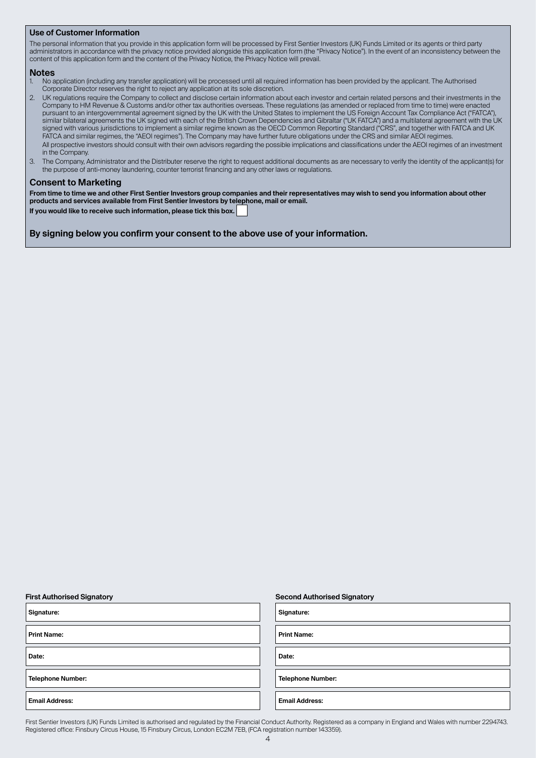### **Use of Customer Information**

The personal information that you provide in this application form will be processed by First Sentier Investors (UK) Funds Limited or its agents or third party administrators in accordance with the privacy notice provided alongside this application form (the "Privacy Notice"). In the event of an inconsistency between the content of this application form and the content of the Privacy Notice, the Privacy Notice will prevail.

# **Notes**

- 1. No application (including any transfer application) will be processed until all required information has been provided by the applicant. The Authorised Corporate Director reserves the right to reject any application at its sole discretion.
- 2. UK regulations require the Company to collect and disclose certain information about each investor and certain related persons and their investments in the Company to HM Revenue & Customs and/or other tax authorities overseas. These regulations (as amended or replaced from time to time) were enacted pursuant to an intergovernmental agreement signed by the UK with the United States to implement the US Foreign Account Tax Compliance Act ("FATCA"), similar bilateral agreements the UK signed with each of the British Crown Dependencies and Gibraltar ("UK FATCA") and a multilateral agreement with the UK signed with various jurisdictions to implement a similar regime known as the OECD Common Reporting Standard ("CRS", and together with FATCA and UK FATCA and similar regimes, the "AEOI regimes"). The Company may have further future obligations under the CRS and similar AEOI regimes. All prospective investors should consult with their own advisors regarding the possible implications and classifications under the AEOI regimes of an investment in the Company.
- 3. The Company, Administrator and the Distributer reserve the right to request additional documents as are necessary to verify the identity of the applicant(s) for the purpose of anti-money laundering, counter terrorist financing and any other laws or regulations.

### **Consent to Marketing**

**From time to time we and other First Sentier Investors group companies and their representatives may wish to send you information about other products and services available from First Sentier Investors by telephone, mail or email. If you would like to receive such information, please tick this box.** 

**By signing below you confirm your consent to the above use of your information.**

| Signature:               | Signature:            |
|--------------------------|-----------------------|
| <b>Print Name:</b>       | <b>Print Name:</b>    |
| Date:                    | Date:                 |
| <b>Telephone Number:</b> | <b>Telephone Nun</b>  |
| <b>Email Address:</b>    | <b>Email Address:</b> |

#### **First Authorised Signatory Second Authorised Signatory**

**Telephone Number: Telephone Number:**

First Sentier Investors (UK) Funds Limited is authorised and regulated by the Financial Conduct Authority. Registered as a company in England and Wales with number 2294743. Registered office: Finsbury Circus House, 15 Finsbury Circus, London EC2M 7EB, (FCA registration number 143359).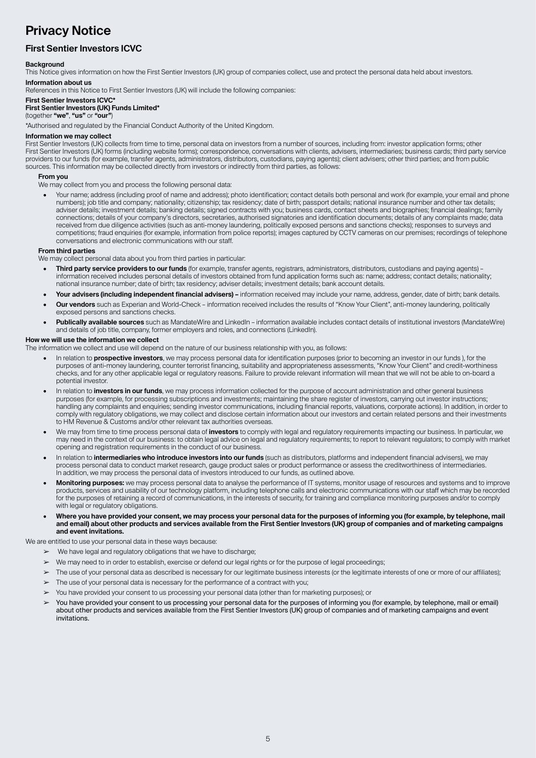# **Privacy Notice**

### **First Sentier Investors ICVC**

### **Background**

This Notice gives information on how the First Sentier Investors (UK) group of companies collect, use and protect the personal data held about investors. **Information about us**

References in this Notice to First Sentier Investors (UK) will include the following companies:

### **First Sentier Investors ICVC\***

### **First Sentier Investors (UK) Funds Limited\***

(together **"we"**, **"us"** or **"our"**)

\*Authorised and regulated by the Financial Conduct Authority of the United Kingdom.

### **Information we may collect**

First Sentier Investors (UK) collects from time to time, personal data on investors from a number of sources, including from: investor application forms; other First Sentier Investors (UK) forms (including website forms); correspondence, conversations with clients, advisers, intermediaries; business cards; third party service providers to our funds (for example, transfer agents, administrators, distributors, custodians, paying agents); client advisers; other third parties; and from public sources. This information may be collected directly from investors or indirectly from third parties, as follows:

#### **From you**

We may collect from you and process the following personal data:

• Your name; address (including proof of name and address); photo identification; contact details both personal and work (for example, your email and phone numbers); job title and company; nationality; citizenship; tax residency; date of birth; passport details; national insurance number and other tax details; adviser details; investment details; banking details; signed contracts with you; business cards, contact sheets and biographies; financial dealings; family connections; details of your company's directors, secretaries, authorised signatories and identification documents; details of any complaints made; data received from due diligence activities (such as anti-money laundering, politically exposed persons and sanctions checks); responses to surveys and competitions; fraud enquiries (for example, information from police reports); images captured by CCTV cameras on our premises; recordings of telephone conversations and electronic communications with our staff.

#### **From third parties**

We may collect personal data about you from third parties in particular:

- **• Third party service providers to our funds** (for example, transfer agents, registrars, administrators, distributors, custodians and paying agents) information received includes personal details of investors obtained from fund application forms such as: name; address; contact details; nationality; national insurance number; date of birth; tax residency; adviser details; investment details; bank account details.
- **• Your advisers (including independent financial advisers)** information received may include your name, address, gender, date of birth; bank details.
- **• Our vendors** such as Experian and World-Check information received includes the results of "Know Your Client", anti-money laundering, politically exposed persons and sanctions checks.
- **• Publically available sources** such as MandateWire and LinkedIn information available includes contact details of institutional investors (MandateWire) and details of job title, company, former employers and roles, and connections (LinkedIn).

#### **How we will use the information we collect**

The information we collect and use will depend on the nature of our business relationship with you, as follows:

- In relation to **prospective investors**, we may process personal data for identification purposes (prior to becoming an investor in our funds ), for the purposes of anti-money laundering, counter terrorist financing, suitability and appropriateness assessments, "Know Your Client" and credit-worthiness checks, and for any other applicable legal or regulatory reasons. Failure to provide relevant information will mean that we will not be able to on-board a potential investor.
- In relation to **investors in our funds**, we may process information collected for the purpose of account administration and other general business purposes (for example, for processing subscriptions and investments; maintaining the share register of investors, carrying out investor instructions; handling any complaints and enquiries; sending investor communications, including financial reports, valuations, corporate actions). In addition, in order to comply with regulatory obligations, we may collect and disclose certain information about our investors and certain related persons and their investments to HM Revenue & Customs and/or other relevant tax authorities overseas.
- We may from time to time process personal data of **investors** to comply with legal and regulatory requirements impacting our business. In particular, we may need in the context of our business: to obtain legal advice on legal and regulatory requirements; to report to relevant regulators; to comply with market opening and registration requirements in the conduct of our business.
- In relation to **intermediaries who introduce investors into our funds** (such as distributors, platforms and independent financial advisers), we may process personal data to conduct market research, gauge product sales or product performance or assess the creditworthiness of intermediaries. In addition, we may process the personal data of investors introduced to our funds, as outlined above.
- **• Monitoring purposes:** we may process personal data to analyse the performance of IT systems, monitor usage of resources and systems and to improve products, services and usability of our technology platform, including telephone calls and electronic communications with our staff which may be recorded for the purposes of retaining a record of communications, in the interests of security, for training and compliance monitoring purposes and/or to comply with legal or regulatory obligations.
- **• Where you have provided your consent, we may process your personal data for the purposes of informing you (for example, by telephone, mail and email) about other products and services available from the First Sentier Investors (UK) group of companies and of marketing campaigns and event invitations.**

We are entitled to use your personal data in these ways because:

- $\triangleright$  We have legal and regulatory obligations that we have to discharge;
- We may need to in order to establish, exercise or defend our legal rights or for the purpose of legal proceedings;
- ➢ The use of your personal data as described is necessary for our legitimate business interests (or the legitimate interests of one or more of our affiliates);
- $\triangleright$  The use of your personal data is necessary for the performance of a contract with you;
- ➢ You have provided your consent to us processing your personal data (other than for marketing purposes); or
- You have provided your consent to us processing your personal data for the purposes of informing you (for example, by telephone, mail or email) about other products and services available from the First Sentier Investors (UK) group of companies and of marketing campaigns and event invitations.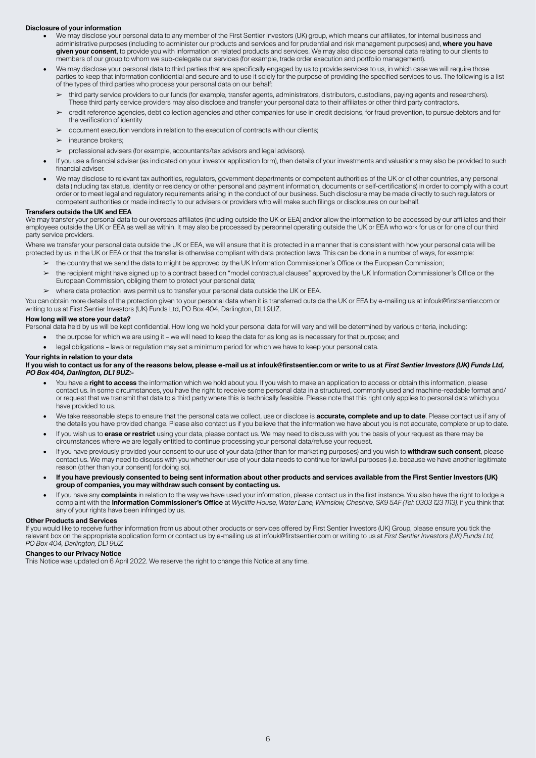#### **Disclosure of your information**

- We may disclose your personal data to any member of the First Sentier Investors (UK) group, which means our affiliates, for internal business and administrative purposes (including to administer our products and services and for prudential and risk management purposes) and, **where you have given your consent**, to provide you with information on related products and services. We may also disclose personal data relating to our clients to members of our group to whom we sub-delegate our services (for example, trade order execution and portfolio management).
- We may disclose your personal data to third parties that are specifically engaged by us to provide services to us, in which case we will require those parties to keep that information confidential and secure and to use it solely for the purpose of providing the specified services to us. The following is a list of the types of third parties who process your personal data on our behalf:
	- ➢ third party service providers to our funds (for example, transfer agents, administrators, distributors, custodians, paying agents and researchers). These third party service providers may also disclose and transfer your personal data to their affiliates or other third party contractors.
	- ➢ credit reference agencies, debt collection agencies and other companies for use in credit decisions, for fraud prevention, to pursue debtors and for the verification of identity
	- ➢ document execution vendors in relation to the execution of contracts with our clients;
	- $\blacktriangleright$  insurance brokers:
	- ➢ professional advisers (for example, accountants/tax advisors and legal advisors).
- If you use a financial adviser (as indicated on your investor application form), then details of your investments and valuations may also be provided to such financial adviser.
- We may disclose to relevant tax authorities, regulators, government departments or competent authorities of the UK or of other countries, any personal data (including tax status, identity or residency or other personal and payment information, documents or self-certifications) in order to comply with a court order or to meet legal and regulatory requirements arising in the conduct of our business. Such disclosure may be made directly to such regulators or competent authorities or made indirectly to our advisers or providers who will make such filings or disclosures on our behalf.

### **Transfers outside the UK and EEA**

We may transfer your personal data to our overseas affiliates (including outside the UK or EEA) and/or allow the information to be accessed by our affiliates and their employees outside the UK or EEA as well as within. It may also be processed by personnel operating outside the UK or EEA who work for us or for one of our third party service providers.

Where we transfer your personal data outside the UK or EEA, we will ensure that it is protected in a manner that is consistent with how your personal data will be protected by us in the UK or EEA or that the transfer is otherwise compliant with data protection laws. This can be done in a number of ways, for example:

➢ the country that we send the data to might be approved by the UK Information Commissioner's Office or the European Commission;

- the recipient might have signed up to a contract based on "model contractual clauses" approved by the UK Information Commissioner's Office or the European Commission, obliging them to protect your personal data;
- ➢ where data protection laws permit us to transfer your personal data outside the UK or EEA.

You can obtain more details of the protection given to your personal data when it is transferred outside the UK or EEA by e-mailing us at infouk@firstsentier.com or writing to us at First Sentier Investors (UK) Funds Ltd, PO Box 404, Darlington, DL1 9UZ.

### **How long will we store your data?**

Personal data held by us will be kept confidential. How long we hold your personal data for will vary and will be determined by various criteria, including:

- the purpose for which we are using it we will need to keep the data for as long as is necessary for that purpose; and
- legal obligations laws or regulation may set a minimum period for which we have to keep your personal data.

#### **Your rights in relation to your data**

### If you wish to contact us for any of the reasons below, please e-mail us at infouk@firstsentier.com or write to us at First Sentier Investors (UK) Funds Ltd, **PO Box 404, Darlington, DL1 9UZ:-**

- You have a **right to access** the information which we hold about you. If you wish to make an application to access or obtain this information, please contact us. In some circumstances, you have the right to receive some personal data in a structured, commonly used and machine-readable format and/ or request that we transmit that data to a third party where this is technically feasible. Please note that this right only applies to personal data which you have provided to us.
- We take reasonable steps to ensure that the personal data we collect, use or disclose is **accurate, complete and up to date**. Please contact us if any of the details you have provided change. Please also contact us if you believe that the information we have about you is not accurate, complete or up to date.
- If you wish us to **erase or restrict** using your data, please contact us. We may need to discuss with you the basis of your request as there may be circumstances where we are legally entitled to continue processing your personal data/refuse your request.
- If you have previously provided your consent to our use of your data (other than for marketing purposes) and you wish to **withdraw such consent**, please contact us. We may need to discuss with you whether our use of your data needs to continue for lawful purposes (i.e. because we have another legitimate reason (other than your consent) for doing so).
- **• If you have previously consented to being sent information about other products and services available from the First Sentier Investors (UK) group of companies, you may withdraw such consent by contacting us.**
- If you have any **complaints** in relation to the way we have used your information, please contact us in the first instance. You also have the right to lodge a complaint with the **Information Commissioner's Office** at *Wycliffe House, Water Lane, Wilmslow, Cheshire, SK9 5AF (Tel: 0303 123 1113),* if you think that any of your rights have been infringed by us.

#### **Other Products and Services**

If you would like to receive further information from us about other products or services offered by First Sentier Investors (UK) Group, please ensure you tick the relevant box on the appropriate application form or contact us by e-mailing us at infouk@firstsentier.com or writing to us at *First Sentier Investors (UK) Funds Ltd, PO Box 404, Darlington, DL1 9UZ.* 

#### **Changes to our Privacy Notice**

This Notice was updated on 6 April 2022. We reserve the right to change this Notice at any time.